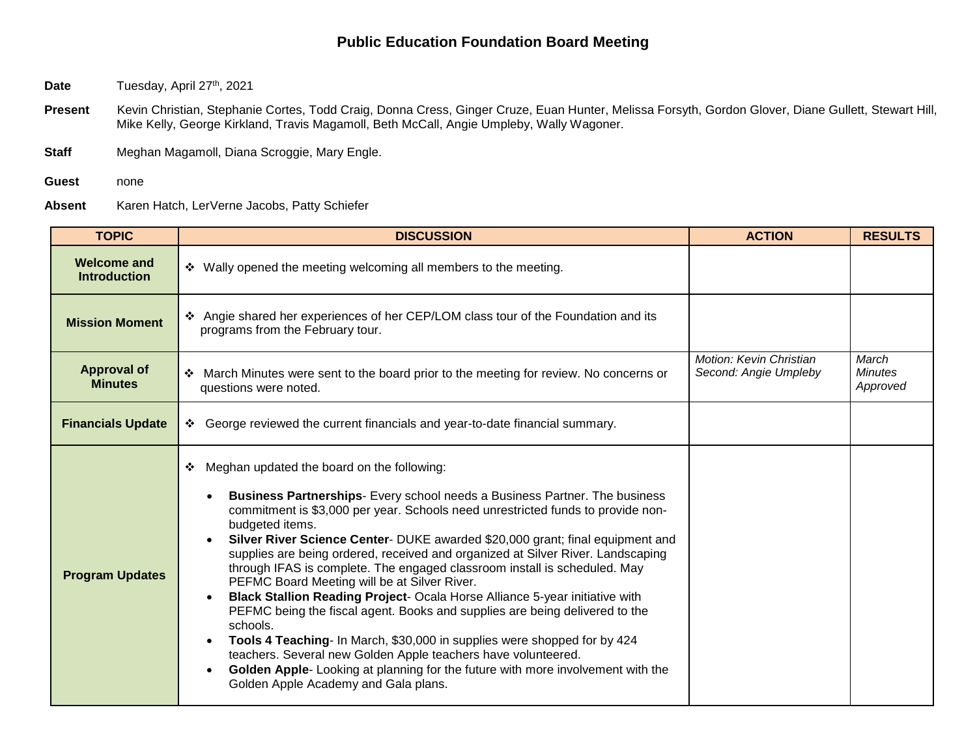- Date Tuesday, April 27<sup>th</sup>, 2021
- Present Kevin Christian, Stephanie Cortes, Todd Craig, Donna Cress, Ginger Cruze, Euan Hunter, Melissa Forsyth, Gordon Glover, Diane Gullett, Stewart Hill, Mike Kelly, George Kirkland, Travis Magamoll, Beth McCall, Angie Umpleby, Wally Wagoner.
- **Staff** Meghan Magamoll, Diana Scroggie, Mary Engle.
- **Guest** none
- **Absent** Karen Hatch, LerVerne Jacobs, Patty Schiefer

| <b>TOPIC</b>                              | <b>DISCUSSION</b>                                                                                                                                                                                                                                                                                                                                                                                                                                                                                                                                                                                                                                                                                                                                                                                                                                                                                                                                                                                                      | <b>ACTION</b>                                    | <b>RESULTS</b>                      |
|-------------------------------------------|------------------------------------------------------------------------------------------------------------------------------------------------------------------------------------------------------------------------------------------------------------------------------------------------------------------------------------------------------------------------------------------------------------------------------------------------------------------------------------------------------------------------------------------------------------------------------------------------------------------------------------------------------------------------------------------------------------------------------------------------------------------------------------------------------------------------------------------------------------------------------------------------------------------------------------------------------------------------------------------------------------------------|--------------------------------------------------|-------------------------------------|
| <b>Welcome and</b><br><b>Introduction</b> | ❖ Wally opened the meeting welcoming all members to the meeting.                                                                                                                                                                                                                                                                                                                                                                                                                                                                                                                                                                                                                                                                                                                                                                                                                                                                                                                                                       |                                                  |                                     |
| <b>Mission Moment</b>                     | Angie shared her experiences of her CEP/LOM class tour of the Foundation and its<br>programs from the February tour.                                                                                                                                                                                                                                                                                                                                                                                                                                                                                                                                                                                                                                                                                                                                                                                                                                                                                                   |                                                  |                                     |
| <b>Approval of</b><br><b>Minutes</b>      | ❖ March Minutes were sent to the board prior to the meeting for review. No concerns or<br>questions were noted.                                                                                                                                                                                                                                                                                                                                                                                                                                                                                                                                                                                                                                                                                                                                                                                                                                                                                                        | Motion: Kevin Christian<br>Second: Angie Umpleby | March<br><b>Minutes</b><br>Approved |
| <b>Financials Update</b>                  | ❖ George reviewed the current financials and year-to-date financial summary.                                                                                                                                                                                                                                                                                                                                                                                                                                                                                                                                                                                                                                                                                                                                                                                                                                                                                                                                           |                                                  |                                     |
| <b>Program Updates</b>                    | Meghan updated the board on the following:<br>❖<br><b>Business Partnerships-</b> Every school needs a Business Partner. The business<br>commitment is \$3,000 per year. Schools need unrestricted funds to provide non-<br>budgeted items.<br>Silver River Science Center- DUKE awarded \$20,000 grant; final equipment and<br>supplies are being ordered, received and organized at Silver River. Landscaping<br>through IFAS is complete. The engaged classroom install is scheduled. May<br>PEFMC Board Meeting will be at Silver River.<br>Black Stallion Reading Project- Ocala Horse Alliance 5-year initiative with<br>$\bullet$<br>PEFMC being the fiscal agent. Books and supplies are being delivered to the<br>schools.<br>Tools 4 Teaching- In March, \$30,000 in supplies were shopped for by 424<br>$\bullet$<br>teachers. Several new Golden Apple teachers have volunteered.<br>Golden Apple-Looking at planning for the future with more involvement with the<br>Golden Apple Academy and Gala plans. |                                                  |                                     |